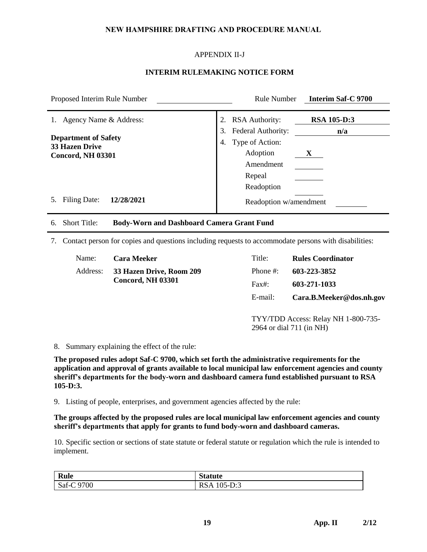# **NEW HAMPSHIRE DRAFTING AND PROCEDURE MANUAL**

# APPENDIX II-J

### **INTERIM RULEMAKING NOTICE FORM**

| Proposed Interim Rule Number                                                                                     | <b>Rule Number</b><br><b>Interim Saf-C 9700</b>                                                                                                                     |  |
|------------------------------------------------------------------------------------------------------------------|---------------------------------------------------------------------------------------------------------------------------------------------------------------------|--|
| Agency Name & Address:<br>1.<br><b>Department of Safety</b><br><b>33 Hazen Drive</b><br><b>Concord, NH 03301</b> | <b>RSA 105-D:3</b><br><b>RSA Authority:</b><br>2.<br>3.<br>Federal Authority:<br>n/a<br>Type of Action:<br>4.<br>Adoption<br>X<br>Amendment<br>Repeal<br>Readoption |  |
| Filing Date:<br>12/28/2021<br>5.                                                                                 | Readoption w/amendment                                                                                                                                              |  |
| <b>Body-Worn and Dashboard Camera Grant Fund</b><br><b>Short Title:</b><br>6.                                    |                                                                                                                                                                     |  |
| Contact person for copies and questions including requests to accommodate persons with disabilities:<br>7.       |                                                                                                                                                                     |  |
| Name:<br><b>Cara Meeker</b><br>Address:<br>33 Hazen Drive, Room 209<br><b>Concord, NH 03301</b>                  | Title:<br><b>Rules Coordinator</b><br>Phone #:<br>603-223-3852<br>$Fax$ :<br>603-271-1033<br>E-mail:<br>Cara.B.Meeker@dos.nh.gov                                    |  |
|                                                                                                                  | TYY/TDD Access: Relay NH 1-800-735-<br>2964 or dial 711 (in NH)                                                                                                     |  |

#### 8. Summary explaining the effect of the rule:

**The proposed rules adopt Saf-C 9700, which set forth the administrative requirements for the application and approval of grants available to local municipal law enforcement agencies and county sheriff's departments for the body-worn and dashboard camera fund established pursuant to RSA 105-D:3.**

9. Listing of people, enterprises, and government agencies affected by the rule:

**The groups affected by the proposed rules are local municipal law enforcement agencies and county sheriff's departments that apply for grants to fund body-worn and dashboard cameras.**

10. Specific section or sections of state statute or federal statute or regulation which the rule is intended to implement.

| <b>Rule</b> | <b>Statute</b> |
|-------------|----------------|
| Saf-C 9700  | RSA 105-D:3    |